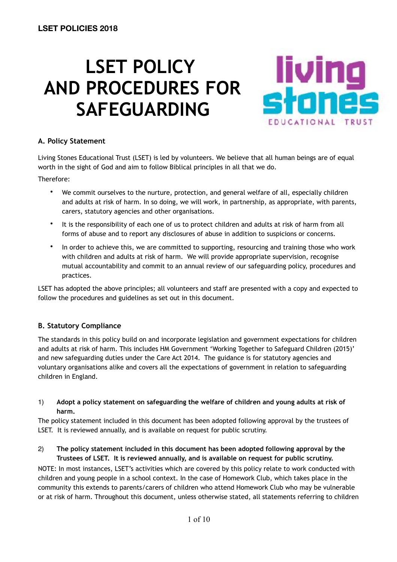# **LSET POLICY AND PROCEDURES FOR SAFEGUARDING**



### **A. Policy Statement**

Living Stones Educational Trust (LSET) is led by volunteers. We believe that all human beings are of equal worth in the sight of God and aim to follow Biblical principles in all that we do.

Therefore:

- We commit ourselves to the nurture, protection, and general welfare of all, especially children and adults at risk of harm. In so doing, we will work, in partnership, as appropriate, with parents, carers, statutory agencies and other organisations.
- It is the responsibility of each one of us to protect children and adults at risk of harm from all forms of abuse and to report any disclosures of abuse in addition to suspicions or concerns.
- In order to achieve this, we are committed to supporting, resourcing and training those who work with children and adults at risk of harm. We will provide appropriate supervision, recognise mutual accountability and commit to an annual review of our safeguarding policy, procedures and practices.

LSET has adopted the above principles; all volunteers and staff are presented with a copy and expected to follow the procedures and guidelines as set out in this document.

#### **B. Statutory Compliance**

The standards in this policy build on and incorporate legislation and government expectations for children and adults at risk of harm. This includes HM Government 'Working Together to Safeguard Children (2015)' and new safeguarding duties under the Care Act 2014. The guidance is for statutory agencies and voluntary organisations alike and covers all the expectations of government in relation to safeguarding children in England.

#### 1) **Adopt a policy statement on safeguarding the welfare of children and young adults at risk of harm.**

The policy statement included in this document has been adopted following approval by the trustees of LSET. It is reviewed annually, and is available on request for public scrutiny.

2) **The policy statement included in this document has been adopted following approval by the Trustees of LSET. It is reviewed annually, and is available on request for public scrutiny.** 

NOTE: In most instances, LSET's activities which are covered by this policy relate to work conducted with children and young people in a school context. In the case of Homework Club, which takes place in the community this extends to parents/carers of children who attend Homework Club who may be vulnerable or at risk of harm. Throughout this document, unless otherwise stated, all statements referring to children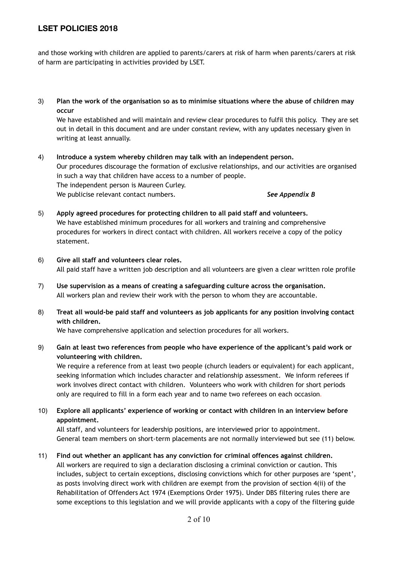and those working with children are applied to parents/carers at risk of harm when parents/carers at risk of harm are participating in activities provided by LSET.

3) **Plan the work of the organisation so as to minimise situations where the abuse of children may occur** 

We have established and will maintain and review clear procedures to fulfil this policy. They are set out in detail in this document and are under constant review, with any updates necessary given in writing at least annually.

- 4) **Introduce a system whereby children may talk with an independent person.**  Our procedures discourage the formation of exclusive relationships, and our activities are organised in such a way that children have access to a number of people. The independent person is Maureen Curley. We publicise relevant contact numbers. *See Appendix B*
- 5) **Apply agreed procedures for protecting children to all paid staff and volunteers.**  We have established minimum procedures for all workers and training and comprehensive procedures for workers in direct contact with children. All workers receive a copy of the policy statement.
- 6) **Give all staff and volunteers clear roles.**  All paid staff have a written job description and all volunteers are given a clear written role profile
- 7) **Use supervision as a means of creating a safeguarding culture across the organisation.**  All workers plan and review their work with the person to whom they are accountable.
- 8) **Treat all would-be paid staff and volunteers as job applicants for any position involving contact with children.**

We have comprehensive application and selection procedures for all workers.

9) **Gain at least two references from people who have experience of the applicant's paid work or volunteering with children.**

We require a reference from at least two people (church leaders or equivalent) for each applicant, seeking information which includes character and relationship assessment. We inform referees if work involves direct contact with children. Volunteers who work with children for short periods only are required to fill in a form each year and to name two referees on each occasion*.* 

10) **Explore all applicants' experience of working or contact with children in an interview before appointment.**

All staff, and volunteers for leadership positions, are interviewed prior to appointment. General team members on short-term placements are not normally interviewed but see (11) below.

11) **Find out whether an applicant has any conviction for criminal offences against children.**  All workers are required to sign a declaration disclosing a criminal conviction or caution. This includes, subject to certain exceptions, disclosing convictions which for other purposes are 'spent', as posts involving direct work with children are exempt from the provision of section 4(ii) of the Rehabilitation of Offenders Act 1974 (Exemptions Order 1975). Under DBS filtering rules there are some exceptions to this legislation and we will provide applicants with a copy of the filtering guide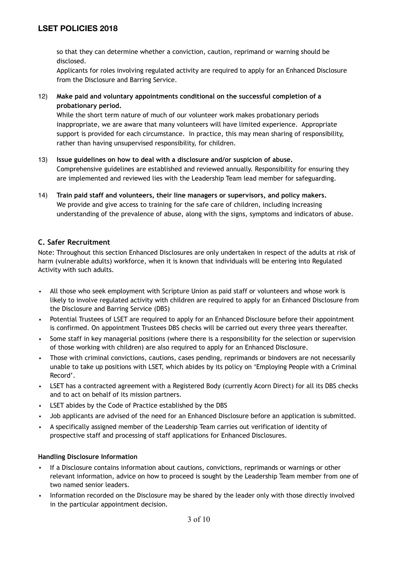so that they can determine whether a conviction, caution, reprimand or warning should be disclosed.

Applicants for roles involving regulated activity are required to apply for an Enhanced Disclosure from the Disclosure and Barring Service.

12) **Make paid and voluntary appointments conditional on the successful completion of a probationary period.** 

While the short term nature of much of our volunteer work makes probationary periods inappropriate, we are aware that many volunteers will have limited experience. Appropriate support is provided for each circumstance. In practice, this may mean sharing of responsibility, rather than having unsupervised responsibility, for children.

- 13) **Issue guidelines on how to deal with a disclosure and/or suspicion of abuse.**  Comprehensive guidelines are established and reviewed annually. Responsibility for ensuring they are implemented and reviewed lies with the Leadership Team lead member for safeguarding.
- 14) **Train paid staff and volunteers, their line managers or supervisors, and policy makers.**  We provide and give access to training for the safe care of children, including increasing understanding of the prevalence of abuse, along with the signs, symptoms and indicators of abuse.

#### **C. Safer Recruitment**

Note: Throughout this section Enhanced Disclosures are only undertaken in respect of the adults at risk of harm (vulnerable adults) workforce, when it is known that individuals will be entering into Regulated Activity with such adults.

- All those who seek employment with Scripture Union as paid staff or volunteers and whose work is likely to involve regulated activity with children are required to apply for an Enhanced Disclosure from the Disclosure and Barring Service (DBS)
- Potential Trustees of LSET are required to apply for an Enhanced Disclosure before their appointment is confirmed. On appointment Trustees DBS checks will be carried out every three years thereafter.
- Some staff in key managerial positions (where there is a responsibility for the selection or supervision of those working with children) are also required to apply for an Enhanced Disclosure.
- Those with criminal convictions, cautions, cases pending, reprimands or bindovers are not necessarily unable to take up positions with LSET, which abides by its policy on 'Employing People with a Criminal Record'.
- LSET has a contracted agreement with a Registered Body (currently Acorn Direct) for all its DBS checks and to act on behalf of its mission partners.
- **LSET** abides by the Code of Practice established by the DBS
- Job applicants are advised of the need for an Enhanced Disclosure before an application is submitted.
- A specifically assigned member of the Leadership Team carries out verification of identity of prospective staff and processing of staff applications for Enhanced Disclosures.

#### **Handling Disclosure Information**

- **•** If a Disclosure contains information about cautions, convictions, reprimands or warnings or other relevant information, advice on how to proceed is sought by the Leadership Team member from one of two named senior leaders.
- Information recorded on the Disclosure may be shared by the leader only with those directly involved in the particular appointment decision.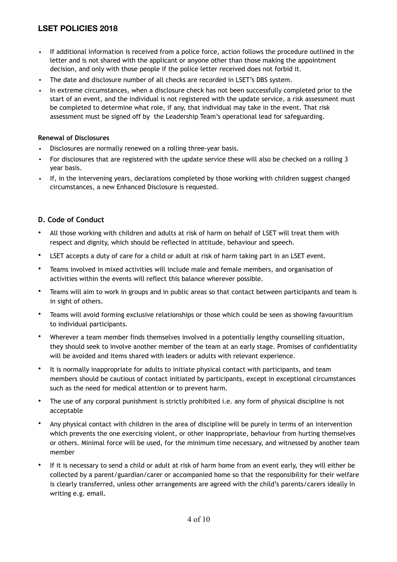- If additional information is received from a police force, action follows the procedure outlined in the letter and is not shared with the applicant or anyone other than those making the appointment decision, and only with those people if the police letter received does not forbid it.
- The date and disclosure number of all checks are recorded in LSET's DBS system.
- In extreme circumstances, when a disclosure check has not been successfully completed prior to the start of an event, and the individual is not registered with the update service, a risk assessment must be completed to determine what role, if any, that individual may take in the event. That risk assessment must be signed off by the Leadership Team's operational lead for safeguarding.

#### **Renewal of Disclosures**

- **•** Disclosures are normally renewed on a rolling three-year basis.
- For disclosures that are registered with the update service these will also be checked on a rolling 3 year basis.
- If, in the intervening years, declarations completed by those working with children suggest changed circumstances, a new Enhanced Disclosure is requested.

#### **D. Code of Conduct**

- All those working with children and adults at risk of harm on behalf of LSET will treat them with respect and dignity, which should be reflected in attitude, behaviour and speech.
- LSET accepts a duty of care for a child or adult at risk of harm taking part in an LSET event.
- Teams involved in mixed activities will include male and female members, and organisation of activities within the events will reflect this balance wherever possible.
- Teams will aim to work in groups and in public areas so that contact between participants and team is in sight of others.
- Teams will avoid forming exclusive relationships or those which could be seen as showing favouritism to individual participants.
- Wherever a team member finds themselves involved in a potentially lengthy counselling situation, they should seek to involve another member of the team at an early stage. Promises of confidentiality will be avoided and items shared with leaders or adults with relevant experience.
- It is normally inappropriate for adults to initiate physical contact with participants, and team members should be cautious of contact initiated by participants, except in exceptional circumstances such as the need for medical attention or to prevent harm.
- The use of any corporal punishment is strictly prohibited i.e. any form of physical discipline is not acceptable
- Any physical contact with children in the area of discipline will be purely in terms of an intervention which prevents the one exercising violent, or other inappropriate, behaviour from hurting themselves or others. Minimal force will be used, for the minimum time necessary, and witnessed by another team member
- If it is necessary to send a child or adult at risk of harm home from an event early, they will either be collected by a parent/guardian/carer or accompanied home so that the responsibility for their welfare is clearly transferred, unless other arrangements are agreed with the child's parents/carers ideally in writing e.g. email.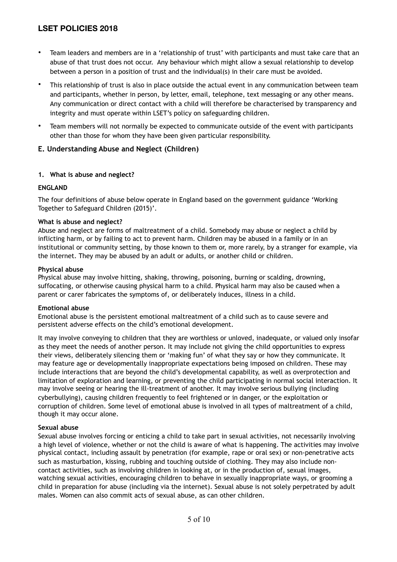- Team leaders and members are in a 'relationship of trust' with participants and must take care that an abuse of that trust does not occur. Any behaviour which might allow a sexual relationship to develop between a person in a position of trust and the individual(s) in their care must be avoided.
- This relationship of trust is also in place outside the actual event in any communication between team and participants, whether in person, by letter, email, telephone, text messaging or any other means. Any communication or direct contact with a child will therefore be characterised by transparency and integrity and must operate within LSET's policy on safeguarding children.
- Team members will not normally be expected to communicate outside of the event with participants other than those for whom they have been given particular responsibility.

#### **E. Understanding Abuse and Neglect (Children)**

#### **1. What is abuse and neglect?**

#### **ENGLAND**

The four definitions of abuse below operate in England based on the government guidance 'Working Together to Safeguard Children (2015)'.

#### **What is abuse and neglect?**

Abuse and neglect are forms of maltreatment of a child. Somebody may abuse or neglect a child by inflicting harm, or by failing to act to prevent harm. Children may be abused in a family or in an institutional or community setting, by those known to them or, more rarely, by a stranger for example, via the internet. They may be abused by an adult or adults, or another child or children.

#### **Physical abuse**

Physical abuse may involve hitting, shaking, throwing, poisoning, burning or scalding, drowning, suffocating, or otherwise causing physical harm to a child. Physical harm may also be caused when a parent or carer fabricates the symptoms of, or deliberately induces, illness in a child.

#### **Emotional abuse**

Emotional abuse is the persistent emotional maltreatment of a child such as to cause severe and persistent adverse effects on the child's emotional development.

It may involve conveying to children that they are worthless or unloved, inadequate, or valued only insofar as they meet the needs of another person. It may include not giving the child opportunities to express their views, deliberately silencing them or 'making fun' of what they say or how they communicate. It may feature age or developmentally inappropriate expectations being imposed on children. These may include interactions that are beyond the child's developmental capability, as well as overprotection and limitation of exploration and learning, or preventing the child participating in normal social interaction. It may involve seeing or hearing the ill-treatment of another. It may involve serious bullying (including cyberbullying), causing children frequently to feel frightened or in danger, or the exploitation or corruption of children. Some level of emotional abuse is involved in all types of maltreatment of a child, though it may occur alone.

#### **Sexual abuse**

Sexual abuse involves forcing or enticing a child to take part in sexual activities, not necessarily involving a high level of violence, whether or not the child is aware of what is happening. The activities may involve physical contact, including assault by penetration (for example, rape or oral sex) or non-penetrative acts such as masturbation, kissing, rubbing and touching outside of clothing. They may also include noncontact activities, such as involving children in looking at, or in the production of, sexual images, watching sexual activities, encouraging children to behave in sexually inappropriate ways, or grooming a child in preparation for abuse (including via the internet). Sexual abuse is not solely perpetrated by adult males. Women can also commit acts of sexual abuse, as can other children.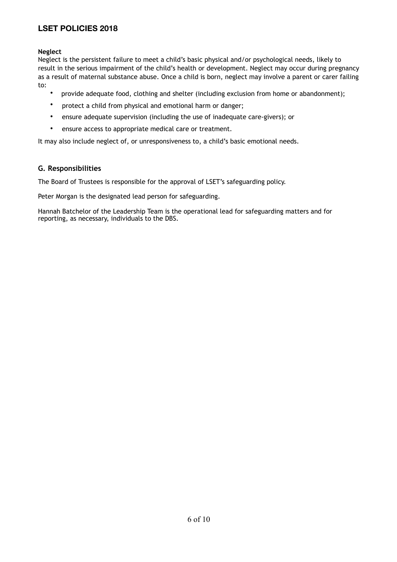**Neglect**

Neglect is the persistent failure to meet a child's basic physical and/or psychological needs, likely to result in the serious impairment of the child's health or development. Neglect may occur during pregnancy as a result of maternal substance abuse. Once a child is born, neglect may involve a parent or carer failing to:

- provide adequate food, clothing and shelter (including exclusion from home or abandonment);
- protect a child from physical and emotional harm or danger;
- ensure adequate supervision (including the use of inadequate care-givers); or
- ensure access to appropriate medical care or treatment.

It may also include neglect of, or unresponsiveness to, a child's basic emotional needs.

#### **G. Responsibilities**

The Board of Trustees is responsible for the approval of LSET's safeguarding policy.

Peter Morgan is the designated lead person for safeguarding.

Hannah Batchelor of the Leadership Team is the operational lead for safeguarding matters and for reporting, as necessary, individuals to the DBS.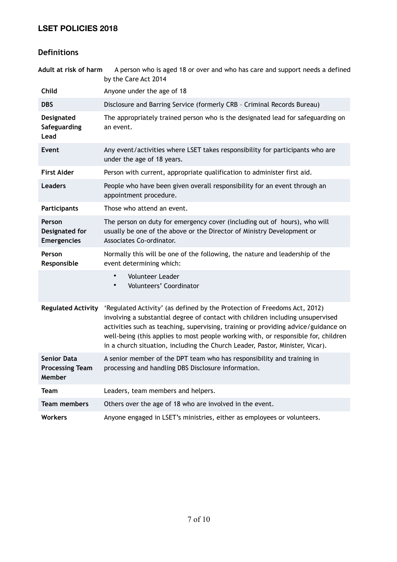## **Definitions**

| Adult at risk of harm                                  | A person who is aged 18 or over and who has care and support needs a defined<br>by the Care Act 2014                                                                                                                                                                                                                                                                                                                     |
|--------------------------------------------------------|--------------------------------------------------------------------------------------------------------------------------------------------------------------------------------------------------------------------------------------------------------------------------------------------------------------------------------------------------------------------------------------------------------------------------|
| Child                                                  | Anyone under the age of 18                                                                                                                                                                                                                                                                                                                                                                                               |
| <b>DBS</b>                                             | Disclosure and Barring Service (formerly CRB - Criminal Records Bureau)                                                                                                                                                                                                                                                                                                                                                  |
| Designated<br>Safeguarding<br>Lead                     | The appropriately trained person who is the designated lead for safeguarding on<br>an event.                                                                                                                                                                                                                                                                                                                             |
| <b>Event</b>                                           | Any event/activities where LSET takes responsibility for participants who are<br>under the age of 18 years.                                                                                                                                                                                                                                                                                                              |
| <b>First Aider</b>                                     | Person with current, appropriate qualification to administer first aid.                                                                                                                                                                                                                                                                                                                                                  |
| <b>Leaders</b>                                         | People who have been given overall responsibility for an event through an<br>appointment procedure.                                                                                                                                                                                                                                                                                                                      |
| Participants                                           | Those who attend an event.                                                                                                                                                                                                                                                                                                                                                                                               |
| Person<br>Designated for<br><b>Emergencies</b>         | The person on duty for emergency cover (including out of hours), who will<br>usually be one of the above or the Director of Ministry Development or<br>Associates Co-ordinator.                                                                                                                                                                                                                                          |
| Person<br>Responsible                                  | Normally this will be one of the following, the nature and leadership of the<br>event determining which:                                                                                                                                                                                                                                                                                                                 |
|                                                        | Volunteer Leader<br>$\bullet$<br>Volunteers' Coordinator<br>$\bullet$                                                                                                                                                                                                                                                                                                                                                    |
| <b>Regulated Activity</b>                              | 'Regulated Activity' (as defined by the Protection of Freedoms Act, 2012)<br>involving a substantial degree of contact with children including unsupervised<br>activities such as teaching, supervising, training or providing advice/guidance on<br>well-being (this applies to most people working with, or responsible for, children<br>in a church situation, including the Church Leader, Pastor, Minister, Vicar). |
| <b>Senior Data</b><br><b>Processing Team</b><br>Member | A senior member of the DPT team who has responsibility and training in<br>processing and handling DBS Disclosure information.                                                                                                                                                                                                                                                                                            |
| <b>Team</b>                                            | Leaders, team members and helpers.                                                                                                                                                                                                                                                                                                                                                                                       |
| <b>Team members</b>                                    | Others over the age of 18 who are involved in the event.                                                                                                                                                                                                                                                                                                                                                                 |
| <b>Workers</b>                                         | Anyone engaged in LSET's ministries, either as employees or volunteers.                                                                                                                                                                                                                                                                                                                                                  |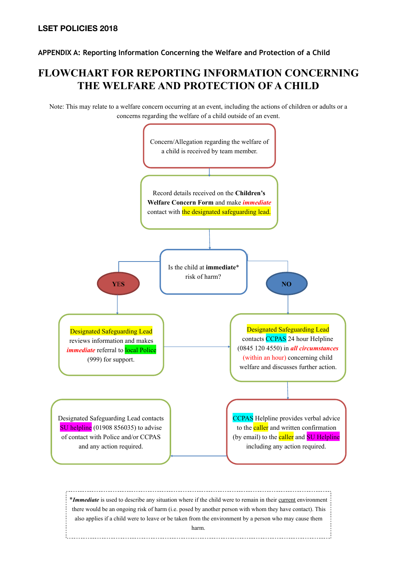#### **APPENDIX A: Reporting Information Concerning the Welfare and Protection of a Child**

## **FLOWCHART FOR REPORTING INFORMATION CONCERNING THE WELFARE AND PROTECTION OF A CHILD**

Note: This may relate to a welfare concern occurring at an event, including the actions of children or adults or a concerns regarding the welfare of a child outside of an event.



also applies if a child were to leave or be taken from the environment by a person who may cause them \**Immediate* is used to describe any situation where if the child were to remain in their current environment there would be an ongoing risk of harm (i.e. posed by another person with whom they have contact). This harm.